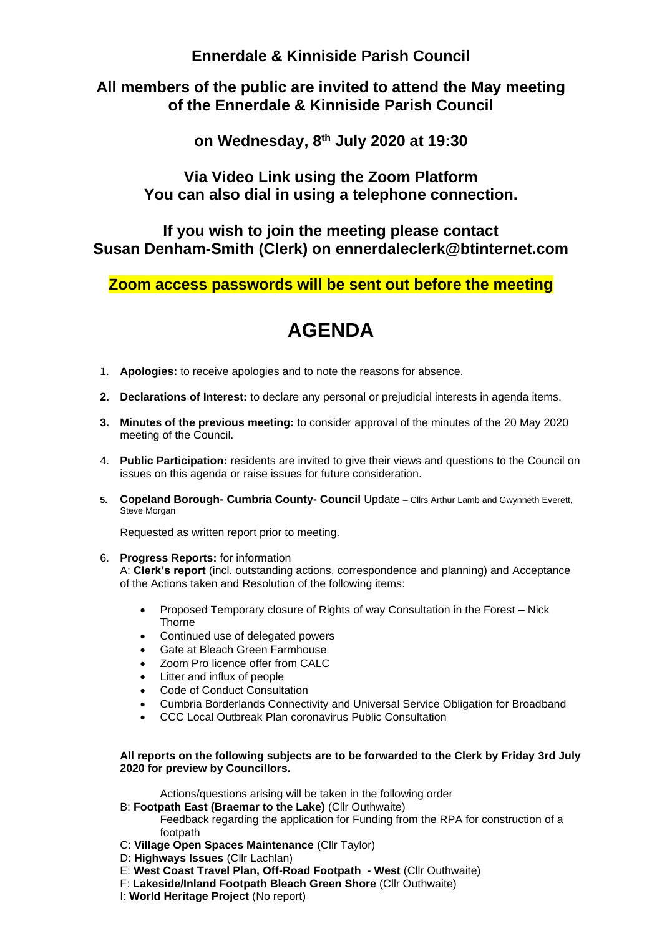**Ennerdale & Kinniside Parish Council**

## **All members of the public are invited to attend the May meeting of the Ennerdale & Kinniside Parish Council**

**on Wednesday, 8 th July 2020 at 19:30**

**Via Video Link using the Zoom Platform You can also dial in using a telephone connection.**

**If you wish to join the meeting please contact Susan Denham-Smith (Clerk) on ennerdaleclerk@btinternet.com**

**Zoom access passwords will be sent out before the meeting**

# **AGENDA**

- 1. **Apologies:** to receive apologies and to note the reasons for absence.
- **2. Declarations of Interest:** to declare any personal or prejudicial interests in agenda items.
- **3. Minutes of the previous meeting:** to consider approval of the minutes of the 20 May 2020 meeting of the Council.
- 4. **Public Participation:** residents are invited to give their views and questions to the Council on issues on this agenda or raise issues for future consideration.
- **5. Copeland Borough- Cumbria County- Council** Update Cllrs Arthur Lamb and Gwynneth Everett, Steve Morgan

Requested as written report prior to meeting.

6. **Progress Reports:** for information

A: **Clerk's report** (incl. outstanding actions, correspondence and planning) and Acceptance of the Actions taken and Resolution of the following items:

- Proposed Temporary closure of Rights of way Consultation in the Forest Nick Thorne
- Continued use of delegated powers
- Gate at Bleach Green Farmhouse
- Zoom Pro licence offer from CALC
- Litter and influx of people
- Code of Conduct Consultation
- Cumbria Borderlands Connectivity and Universal Service Obligation for Broadband
- CCC Local Outbreak Plan coronavirus Public Consultation

#### **All reports on the following subjects are to be forwarded to the Clerk by Friday 3rd July 2020 for preview by Councillors.**

Actions/questions arising will be taken in the following order

- B: **Footpath East (Braemar to the Lake)** (Cllr Outhwaite)
	- Feedback regarding the application for Funding from the RPA for construction of a footpath
- C: **Village Open Spaces Maintenance** (Cllr Taylor)
- D: **Highways Issues** (Cllr Lachlan)
- E: **West Coast Travel Plan, Off-Road Footpath - West** (Cllr Outhwaite)
- F: **Lakeside/Inland Footpath Bleach Green Shore** (Cllr Outhwaite)
- I: **World Heritage Project** (No report)